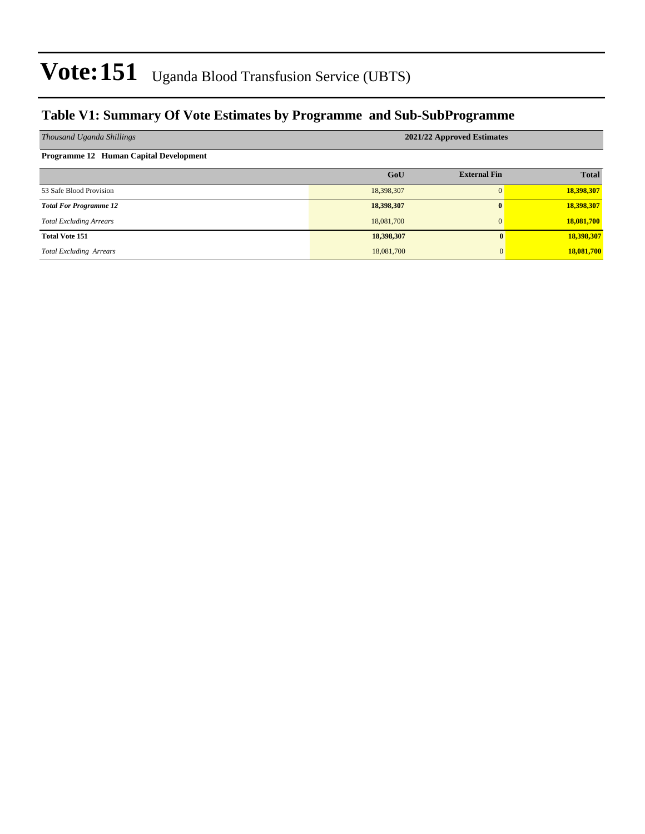### **Table V1: Summary Of Vote Estimates by Programme and Sub-SubProgramme**

| Thousand Uganda Shillings              | 2021/22 Approved Estimates |                     |              |  |  |  |  |
|----------------------------------------|----------------------------|---------------------|--------------|--|--|--|--|
| Programme 12 Human Capital Development |                            |                     |              |  |  |  |  |
|                                        | GoU                        | <b>External Fin</b> | <b>Total</b> |  |  |  |  |
| 53 Safe Blood Provision                | 18,398,307                 |                     | 18,398,307   |  |  |  |  |
| <b>Total For Programme 12</b>          | 18,398,307                 | $\mathbf{0}$        | 18,398,307   |  |  |  |  |
| <b>Total Excluding Arrears</b>         | 18,081,700                 | $\Omega$            | 18,081,700   |  |  |  |  |
| <b>Total Vote 151</b>                  | 18,398,307                 | $\mathbf{0}$        | 18,398,307   |  |  |  |  |
| <b>Total Excluding Arrears</b>         | 18,081,700                 | $\mathbf{0}$        | 18,081,700   |  |  |  |  |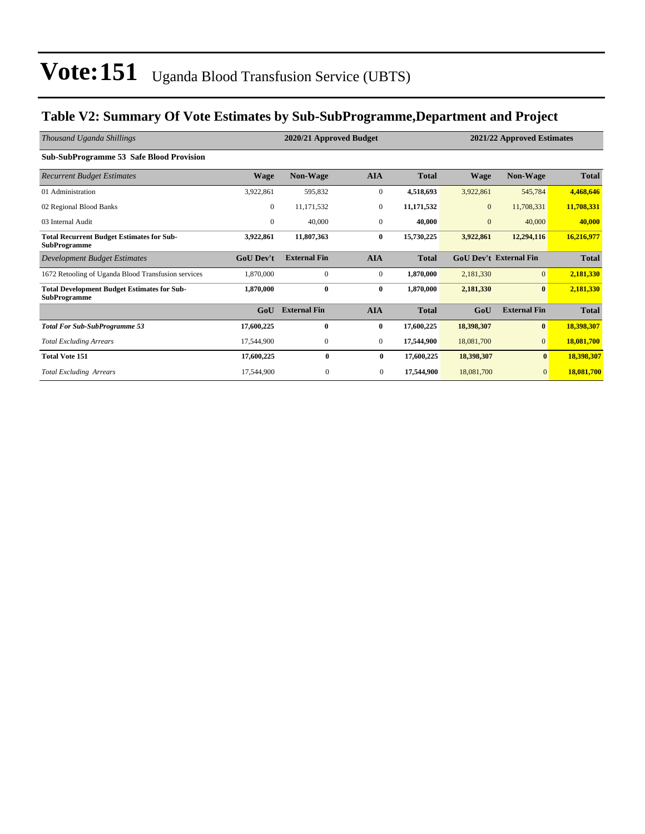### **Table V2: Summary Of Vote Estimates by Sub-SubProgramme,Department and Project**

| Thousand Uganda Shillings                                                 |                  | 2020/21 Approved Budget | 2021/22 Approved Estimates |              |                |                               |              |
|---------------------------------------------------------------------------|------------------|-------------------------|----------------------------|--------------|----------------|-------------------------------|--------------|
| <b>Sub-SubProgramme 53 Safe Blood Provision</b>                           |                  |                         |                            |              |                |                               |              |
| <b>Recurrent Budget Estimates</b>                                         | <b>Wage</b>      | <b>Non-Wage</b>         | <b>AIA</b>                 | <b>Total</b> | <b>Wage</b>    | <b>Non-Wage</b>               | <b>Total</b> |
| 01 Administration                                                         | 3,922,861        | 595,832                 | $\boldsymbol{0}$           | 4,518,693    | 3,922,861      | 545,784                       | 4,468,646    |
| 02 Regional Blood Banks                                                   | $\mathbf{0}$     | 11,171,532              | $\overline{0}$             | 11,171,532   | $\overline{0}$ | 11,708,331                    | 11,708,331   |
| 03 Internal Audit                                                         | $\mathbf{0}$     | 40,000                  | $\overline{0}$             | 40,000       | $\mathbf{0}$   | 40,000                        | 40,000       |
| <b>Total Recurrent Budget Estimates for Sub-</b><br><b>SubProgramme</b>   | 3,922,861        | 11,807,363              | $\bf{0}$                   | 15,730,225   | 3,922,861      | 12,294,116                    | 16,216,977   |
| Development Budget Estimates                                              | <b>GoU</b> Dev't | <b>External Fin</b>     | <b>AIA</b>                 | <b>Total</b> |                | <b>GoU Dev't External Fin</b> | <b>Total</b> |
| 1672 Retooling of Uganda Blood Transfusion services                       | 1,870,000        | $\mathbf{0}$            | $\boldsymbol{0}$           | 1,870,000    | 2,181,330      | $\mathbf{0}$                  | 2,181,330    |
| <b>Total Development Budget Estimates for Sub-</b><br><b>SubProgramme</b> | 1,870,000        | $\bf{0}$                | $\bf{0}$                   | 1,870,000    | 2,181,330      | $\bf{0}$                      | 2,181,330    |
|                                                                           | GoU              | <b>External Fin</b>     | <b>AIA</b>                 | <b>Total</b> | GoU            | <b>External Fin</b>           | <b>Total</b> |
| <b>Total For Sub-SubProgramme 53</b>                                      | 17,600,225       | $\bf{0}$                | $\bf{0}$                   | 17,600,225   | 18,398,307     | $\bf{0}$                      | 18,398,307   |
| <b>Total Excluding Arrears</b>                                            | 17,544,900       | $\mathbf{0}$            | $\overline{0}$             | 17,544,900   | 18,081,700     | $\mathbf{0}$                  | 18,081,700   |
| <b>Total Vote 151</b>                                                     | 17,600,225       | $\bf{0}$                | $\bf{0}$                   | 17,600,225   | 18,398,307     | $\bf{0}$                      | 18,398,307   |
| <b>Total Excluding Arrears</b>                                            | 17,544,900       | $\mathbf{0}$            | $\mathbf{0}$               | 17,544,900   | 18,081,700     | $\mathbf{0}$                  | 18,081,700   |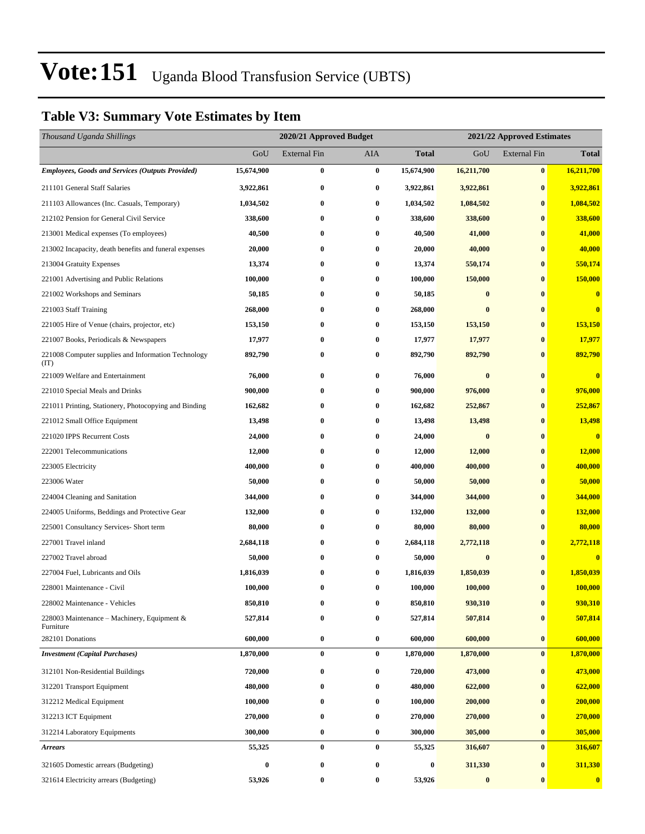### **Table V3: Summary Vote Estimates by Item**

| Thousand Uganda Shillings                                   |                  | 2020/21 Approved Budget |                  |              | 2021/22 Approved Estimates |                     |                         |  |
|-------------------------------------------------------------|------------------|-------------------------|------------------|--------------|----------------------------|---------------------|-------------------------|--|
|                                                             | GoU              | External Fin            | AIA              | <b>Total</b> | GoU                        | <b>External Fin</b> | <b>Total</b>            |  |
| <b>Employees, Goods and Services (Outputs Provided)</b>     | 15,674,900       | $\bf{0}$                | $\pmb{0}$        | 15,674,900   | 16,211,700                 | $\bf{0}$            | 16,211,700              |  |
| 211101 General Staff Salaries                               | 3,922,861        | $\bf{0}$                | $\bf{0}$         | 3,922,861    | 3,922,861                  | $\bf{0}$            | 3,922,861               |  |
| 211103 Allowances (Inc. Casuals, Temporary)                 | 1,034,502        | $\bf{0}$                | $\bf{0}$         | 1,034,502    | 1,084,502                  | $\bf{0}$            | 1,084,502               |  |
| 212102 Pension for General Civil Service                    | 338,600          | $\bf{0}$                | $\bf{0}$         | 338,600      | 338,600                    | $\bf{0}$            | 338,600                 |  |
| 213001 Medical expenses (To employees)                      | 40,500           | $\bf{0}$                | $\bf{0}$         | 40,500       | 41,000                     | $\bf{0}$            | 41,000                  |  |
| 213002 Incapacity, death benefits and funeral expenses      | 20,000           | $\bf{0}$                | $\bf{0}$         | 20,000       | 40,000                     | $\bf{0}$            | 40,000                  |  |
| 213004 Gratuity Expenses                                    | 13,374           | $\bf{0}$                | 0                | 13,374       | 550,174                    | $\bf{0}$            | 550,174                 |  |
| 221001 Advertising and Public Relations                     | 100,000          | $\bf{0}$                | $\bf{0}$         | 100,000      | 150,000                    | $\bf{0}$            | 150,000                 |  |
| 221002 Workshops and Seminars                               | 50,185           | $\bf{0}$                | $\bf{0}$         | 50,185       | $\bf{0}$                   | $\bf{0}$            | $\overline{\mathbf{0}}$ |  |
| 221003 Staff Training                                       | 268,000          | $\bf{0}$                | $\bf{0}$         | 268,000      | $\bf{0}$                   | $\bf{0}$            | $\bf{0}$                |  |
| 221005 Hire of Venue (chairs, projector, etc)               | 153,150          | $\bf{0}$                | $\bf{0}$         | 153,150      | 153,150                    | $\bf{0}$            | 153,150                 |  |
| 221007 Books, Periodicals & Newspapers                      | 17,977           | $\bf{0}$                | 0                | 17,977       | 17,977                     | $\bf{0}$            | 17,977                  |  |
| 221008 Computer supplies and Information Technology<br>(TT) | 892,790          | $\bf{0}$                | $\bf{0}$         | 892,790      | 892,790                    | $\bf{0}$            | 892,790                 |  |
| 221009 Welfare and Entertainment                            | 76,000           | $\bf{0}$                | $\bf{0}$         | 76,000       | $\bf{0}$                   | $\bf{0}$            | $\overline{\mathbf{0}}$ |  |
| 221010 Special Meals and Drinks                             | 900,000          | $\bf{0}$                | 0                | 900,000      | 976,000                    | $\bf{0}$            | 976,000                 |  |
| 221011 Printing, Stationery, Photocopying and Binding       | 162,682          | $\bf{0}$                | $\boldsymbol{0}$ | 162,682      | 252,867                    | $\bf{0}$            | 252,867                 |  |
| 221012 Small Office Equipment                               | 13,498           | $\bf{0}$                | $\bf{0}$         | 13,498       | 13,498                     | $\bf{0}$            | 13,498                  |  |
| 221020 IPPS Recurrent Costs                                 | 24,000           | $\bf{0}$                | 0                | 24,000       | $\bf{0}$                   | $\bf{0}$            | $\overline{\mathbf{0}}$ |  |
| 222001 Telecommunications                                   | 12,000           | $\bf{0}$                | $\bf{0}$         | 12,000       | 12,000                     | $\bf{0}$            | 12,000                  |  |
| 223005 Electricity                                          | 400,000          | $\bf{0}$                | 0                | 400,000      | 400,000                    | $\bf{0}$            | 400,000                 |  |
| 223006 Water                                                | 50,000           | $\bf{0}$                | $\bf{0}$         | 50,000       | 50,000                     | $\bf{0}$            | 50,000                  |  |
| 224004 Cleaning and Sanitation                              | 344,000          | $\bf{0}$                | $\bf{0}$         | 344,000      | 344,000                    | $\bf{0}$            | 344,000                 |  |
| 224005 Uniforms, Beddings and Protective Gear               | 132,000          | $\bf{0}$                | $\bf{0}$         | 132,000      | 132,000                    | $\bf{0}$            | 132,000                 |  |
| 225001 Consultancy Services- Short term                     | 80,000           | $\bf{0}$                | $\bf{0}$         | 80,000       | 80,000                     | $\bf{0}$            | 80,000                  |  |
| 227001 Travel inland                                        | 2,684,118        | $\bf{0}$                | 0                | 2,684,118    | 2,772,118                  | $\bf{0}$            | 2,772,118               |  |
| 227002 Travel abroad                                        | 50,000           | $\bf{0}$                | 0                | 50,000       | $\bf{0}$                   | $\bf{0}$            | $\bf{0}$                |  |
| 227004 Fuel, Lubricants and Oils                            | 1,816,039        | $\bf{0}$                | 0                | 1,816,039    | 1,850,039                  | $\bf{0}$            | 1,850,039               |  |
| 228001 Maintenance - Civil                                  | 100,000          | $\bf{0}$                | 0                | 100,000      | 100,000                    | $\bf{0}$            | 100,000                 |  |
| 228002 Maintenance - Vehicles                               | 850,810          | $\bf{0}$                | $\bf{0}$         | 850,810      | 930,310                    | $\pmb{0}$           | 930,310                 |  |
| 228003 Maintenance – Machinery, Equipment &<br>Furniture    | 527,814          | $\bf{0}$                | $\bf{0}$         | 527,814      | 507,814                    | $\bf{0}$            | 507,814                 |  |
| 282101 Donations                                            | 600,000          | $\bf{0}$                | $\bf{0}$         | 600,000      | 600,000                    | $\bf{0}$            | 600,000                 |  |
| <b>Investment</b> (Capital Purchases)                       | 1,870,000        | $\bf{0}$                | $\bf{0}$         | 1,870,000    | 1,870,000                  | $\bf{0}$            | 1,870,000               |  |
| 312101 Non-Residential Buildings                            | 720,000          | $\bf{0}$                | $\bf{0}$         | 720,000      | 473,000                    | $\bf{0}$            | 473,000                 |  |
| 312201 Transport Equipment                                  | 480,000          | $\bf{0}$                | $\bf{0}$         | 480,000      | 622,000                    | $\bf{0}$            | 622,000                 |  |
| 312212 Medical Equipment                                    | 100,000          | $\bf{0}$                | $\bf{0}$         | 100,000      | 200,000                    | $\bf{0}$            | 200,000                 |  |
| 312213 ICT Equipment                                        | 270,000          | $\bf{0}$                | $\bf{0}$         | 270,000      | 270,000                    | $\bf{0}$            | 270,000                 |  |
| 312214 Laboratory Equipments                                | 300,000          | $\bf{0}$                | $\bf{0}$         | 300,000      | 305,000                    | $\bf{0}$            | 305,000                 |  |
| <b>Arrears</b>                                              | 55,325           | $\bf{0}$                | $\bf{0}$         | 55,325       | 316,607                    | $\bf{0}$            | 316,607                 |  |
| 321605 Domestic arrears (Budgeting)                         | $\boldsymbol{0}$ | $\bf{0}$                | 0                | 0            | 311,330                    | $\bf{0}$            | 311,330                 |  |
| 321614 Electricity arrears (Budgeting)                      | 53,926           | $\bf{0}$                | $\bf{0}$         | 53,926       | $\boldsymbol{0}$           | $\bf{0}$            | $\bf{0}$                |  |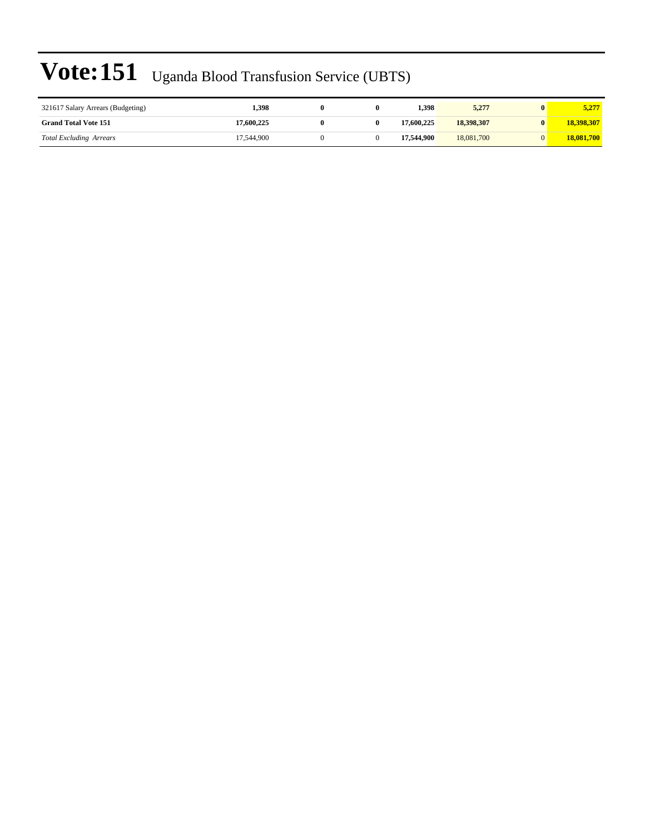| 321617 Salary Arrears (Budgeting) | 1,398      |  | 1.398      | 5,277      | 5,277      |
|-----------------------------------|------------|--|------------|------------|------------|
| <b>Grand Total Vote 151</b>       | 17,600,225 |  | 17.600.225 | 18,398,307 | 18,398,307 |
| <b>Total Excluding Arrears</b>    | 17.544.900 |  | 17.544.900 | 18,081,700 | 18,081,700 |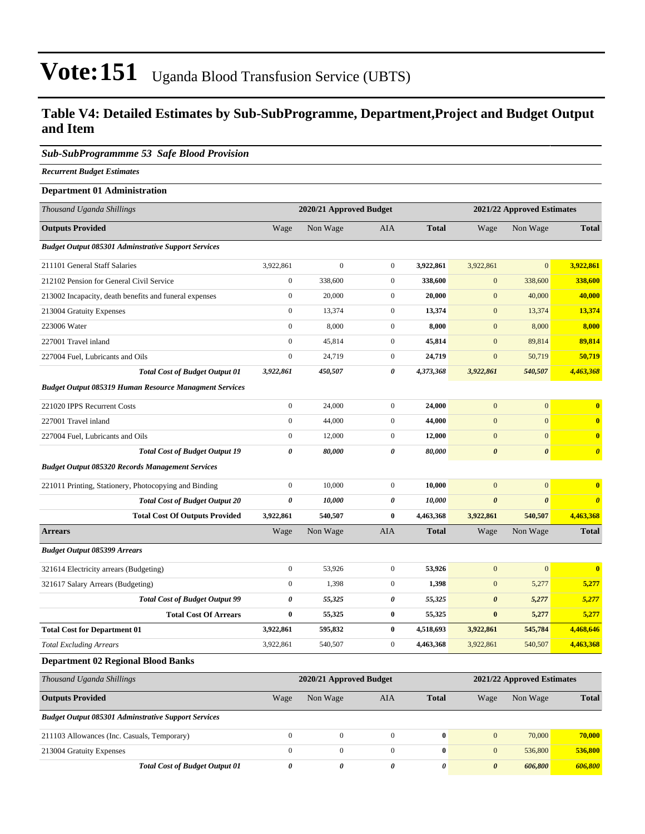### **Table V4: Detailed Estimates by Sub-SubProgramme, Department,Project and Budget Output and Item**

#### *Sub-SubProgrammme 53 Safe Blood Provision*

*Recurrent Budget Estimates*

### **Department 01 Administration** *Thousand Uganda Shillings* **2020/21 Approved Budget 2021/22 Approved Estimates Outputs Provided** Wage Non Wage AIA **Total** Wage Non Wage **Total** *Budget Output 085301 Adminstrative Support Services* 211101 General Staff Salaries 3,922,861 0 0 **3,922,861** 3,922,861 0 **3,922,861** 212102 Pension for General Civil Service 0 338,600 0 **338,600** 0 338,600 **338,600** 213002 Incapacity, death benefits and funeral expenses 0 20,000 0 **20,000** 0 40,000 **40,000** 213004 Gratuity Expenses 0 13,374 0 **13,374** 0 13,374 **13,374** 223006 Water 0 8,000 0 **8,000** 0 8,000 **8,000** 227001 Travel inland 0 45,814 0 **45,814** 0 89,814 **89,814** 227004 Fuel, Lubricants and Oils 0 24,719 0 **24,719** 0 50,719 **50,719** *Total Cost of Budget Output 01 3,922,861 450,507 0 4,373,368 3,922,861 540,507 4,463,368 Budget Output 085319 Human Resource Managment Services* 221020 IPPS Recurrent Costs 0 24,000 0 **24,000** 0 0 **0** 227001 Travel inland 0 44,000 0 **44,000** 0 0 **0** 227004 Fuel, Lubricants and Oils 0 12,000 0 **12,000** 0 0 **0** *Total Cost of Budget Output 19 0 80,000 0 80,000 0 0 0 Budget Output 085320 Records Management Services* 221011 Printing, Stationery, Photocopying and Binding 0 10,000 0 **10,000** 0 0 **0** *Total Cost of Budget Output 20 0 10,000 0 10,000 0 0 0* **Total Cost Of Outputs Provided 3,922,861 540,507 0 4,463,368 3,922,861 540,507 4,463,368 Arrears** Wage Non Wage AIA **Total** Wage Non Wage **Total** *Budget Output 085399 Arrears* 321614 Electricity arrears (Budgeting) 0 53,926 0 **53,926** 0 0 **0** 321617 Salary Arrears (Budgeting) 0 1,398 0 **1,398** 0 5,277 **5,277** *Total Cost of Budget Output 99 0 55,325 0 55,325 0 5,277 5,277* **Total Cost Of Arrears 0 55,325 0 55,325 0 5,277 5,277 Total Cost for Department 01 3,922,861 595,832 0 4,518,693 3,922,861 545,784 4,468,646** *Total Excluding Arrears* 3,922,861 540,507 0 **4,463,368** 3,922,861 540,507 **4,463,368 Department 02 Regional Blood Banks** *Thousand Uganda Shillings* **2020/21 Approved Budget 2021/22 Approved Estimates Outputs Provided** Wage Non Wage AIA **Total** Wage Non Wage **Total**

| <b>Budget Output 085301 Adminstrative Support Services</b> |  |  |         |         |
|------------------------------------------------------------|--|--|---------|---------|
| 211103 Allowances (Inc. Casuals, Temporary)                |  |  | 70,000  | 70,000  |
| 213004 Gratuity Expenses                                   |  |  | 536,800 | 536,800 |
| <b>Total Cost of Budget Output 01</b>                      |  |  | 606,800 | 606,800 |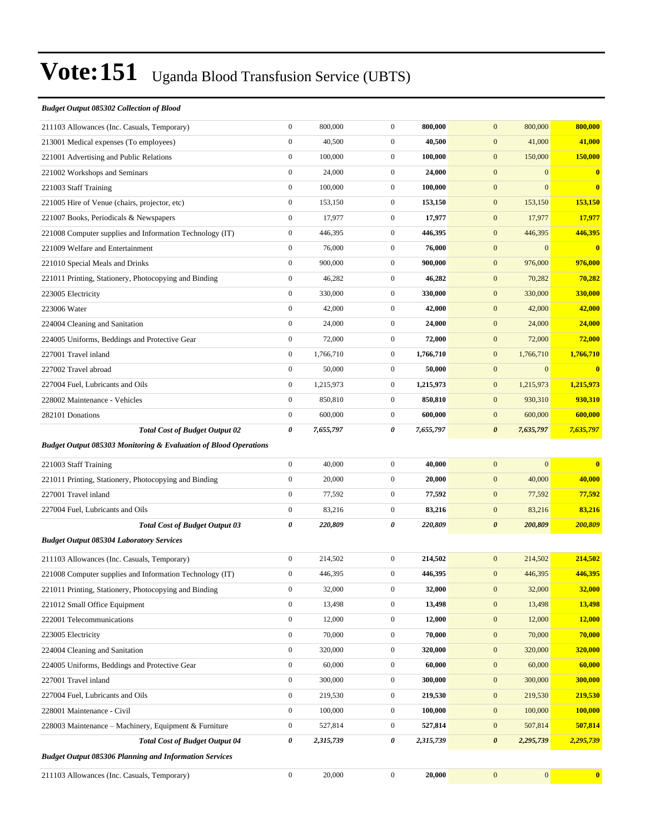#### *Budget Output 085302 Collection of Blood*

| 211103 Allowances (Inc. Casuals, Temporary)                                 | $\boldsymbol{0}$ | 800,000   | $\boldsymbol{0}$ | 800,000   | $\mathbf{0}$<br>800,000              | 800,000                 |
|-----------------------------------------------------------------------------|------------------|-----------|------------------|-----------|--------------------------------------|-------------------------|
| 213001 Medical expenses (To employees)                                      | $\boldsymbol{0}$ | 40,500    | $\boldsymbol{0}$ | 40,500    | $\mathbf{0}$<br>41,000               | 41,000                  |
| 221001 Advertising and Public Relations                                     | $\boldsymbol{0}$ | 100,000   | $\boldsymbol{0}$ | 100,000   | $\boldsymbol{0}$<br>150,000          | 150,000                 |
| 221002 Workshops and Seminars                                               | $\boldsymbol{0}$ | 24,000    | $\boldsymbol{0}$ | 24,000    | $\mathbf{0}$<br>$\mathbf{0}$         | $\bf{0}$                |
| 221003 Staff Training                                                       | $\boldsymbol{0}$ | 100,000   | $\boldsymbol{0}$ | 100,000   | $\mathbf{0}$<br>$\Omega$             | $\overline{0}$          |
| 221005 Hire of Venue (chairs, projector, etc)                               | $\boldsymbol{0}$ | 153,150   | $\boldsymbol{0}$ | 153,150   | $\mathbf{0}$<br>153,150              | 153,150                 |
| 221007 Books, Periodicals & Newspapers                                      | $\boldsymbol{0}$ | 17,977    | $\mathbf{0}$     | 17,977    | $\mathbf{0}$<br>17,977               | 17,977                  |
| 221008 Computer supplies and Information Technology (IT)                    | $\boldsymbol{0}$ | 446,395   | $\boldsymbol{0}$ | 446,395   | $\boldsymbol{0}$<br>446,395          | 446,395                 |
| 221009 Welfare and Entertainment                                            | $\boldsymbol{0}$ | 76,000    | $\boldsymbol{0}$ | 76,000    | $\boldsymbol{0}$<br>$\mathbf{0}$     | $\overline{\mathbf{0}}$ |
| 221010 Special Meals and Drinks                                             | $\boldsymbol{0}$ | 900,000   | $\boldsymbol{0}$ | 900,000   | $\mathbf{0}$<br>976,000              | 976,000                 |
| 221011 Printing, Stationery, Photocopying and Binding                       | $\boldsymbol{0}$ | 46,282    | $\overline{0}$   | 46,282    | $\mathbf{0}$<br>70,282               | 70,282                  |
| 223005 Electricity                                                          | $\boldsymbol{0}$ | 330,000   | $\mathbf{0}$     | 330,000   | $\mathbf{0}$<br>330,000              | 330,000                 |
| 223006 Water                                                                | $\boldsymbol{0}$ | 42,000    | $\boldsymbol{0}$ | 42,000    | $\boldsymbol{0}$<br>42,000           | 42,000                  |
| 224004 Cleaning and Sanitation                                              | $\boldsymbol{0}$ | 24,000    | $\mathbf{0}$     | 24,000    | $\mathbf{0}$<br>24,000               | 24,000                  |
| 224005 Uniforms, Beddings and Protective Gear                               | $\boldsymbol{0}$ | 72,000    | $\mathbf{0}$     | 72,000    | $\mathbf{0}$<br>72,000               | 72,000                  |
| 227001 Travel inland                                                        | $\boldsymbol{0}$ | 1,766,710 | $\overline{0}$   | 1,766,710 | $\mathbf{0}$<br>1,766,710            | 1,766,710               |
| 227002 Travel abroad                                                        | $\boldsymbol{0}$ | 50,000    | $\mathbf{0}$     | 50,000    | $\boldsymbol{0}$<br>$\mathbf{0}$     | $\overline{\mathbf{0}}$ |
| 227004 Fuel, Lubricants and Oils                                            | $\boldsymbol{0}$ | 1,215,973 | $\boldsymbol{0}$ | 1,215,973 | $\boldsymbol{0}$<br>1,215,973        | 1,215,973               |
| 228002 Maintenance - Vehicles                                               | $\boldsymbol{0}$ | 850,810   | $\mathbf{0}$     | 850,810   | $\mathbf{0}$<br>930,310              | 930,310                 |
| 282101 Donations                                                            | $\boldsymbol{0}$ | 600,000   | $\boldsymbol{0}$ | 600,000   | $\boldsymbol{0}$<br>600,000          | 600,000                 |
| <b>Total Cost of Budget Output 02</b>                                       | $\pmb{\theta}$   | 7,655,797 | 0                | 7,655,797 | $\boldsymbol{\theta}$<br>7,635,797   | 7,635,797               |
| <b>Budget Output 085303 Monitoring &amp; Evaluation of Blood Operations</b> |                  |           |                  |           |                                      |                         |
| 221003 Staff Training                                                       | $\boldsymbol{0}$ | 40,000    | $\boldsymbol{0}$ | 40,000    | $\boldsymbol{0}$<br>$\mathbf{0}$     | $\overline{\mathbf{0}}$ |
| 221011 Printing, Stationery, Photocopying and Binding                       | $\boldsymbol{0}$ | 20,000    | $\boldsymbol{0}$ | 20,000    | 40,000<br>$\boldsymbol{0}$           | 40,000                  |
| 227001 Travel inland                                                        | $\boldsymbol{0}$ | 77,592    | $\mathbf{0}$     | 77,592    | $\boldsymbol{0}$<br>77,592           | 77,592                  |
| 227004 Fuel, Lubricants and Oils                                            | $\boldsymbol{0}$ | 83,216    | $\boldsymbol{0}$ | 83,216    | $\boldsymbol{0}$<br>83,216           | 83,216                  |
| <b>Total Cost of Budget Output 03</b>                                       | $\pmb{\theta}$   | 220,809   | 0                | 220,809   | $\boldsymbol{\theta}$<br>200,809     | 200,809                 |
| <b>Budget Output 085304 Laboratory Services</b>                             |                  |           |                  |           |                                      |                         |
| 211103 Allowances (Inc. Casuals, Temporary)                                 | $\boldsymbol{0}$ | 214,502   | $\boldsymbol{0}$ | 214,502   | 214,502<br>$\mathbf{0}$              | 214,502                 |
| 221008 Computer supplies and Information Technology (IT)                    | $\boldsymbol{0}$ | 446,395   | $\boldsymbol{0}$ | 446,395   | $\mathbf{0}$<br>446,395              | 446,395                 |
| 221011 Printing, Stationery, Photocopying and Binding                       | $\boldsymbol{0}$ | 32,000    | $\boldsymbol{0}$ | 32,000    | 32,000<br>$\mathbf{0}$               | <b>32,000</b>           |
| 221012 Small Office Equipment                                               | $\boldsymbol{0}$ | 13,498    | $\mathbf{0}$     | 13,498    | $\boldsymbol{0}$<br>13,498           | 13,498                  |
| 222001 Telecommunications                                                   | $\boldsymbol{0}$ | 12,000    | $\boldsymbol{0}$ | 12,000    | $\boldsymbol{0}$<br>12,000           | 12,000                  |
| 223005 Electricity                                                          | $\boldsymbol{0}$ | 70,000    | $\boldsymbol{0}$ | 70,000    | $\boldsymbol{0}$<br>70,000           | 70,000                  |
| 224004 Cleaning and Sanitation                                              | $\boldsymbol{0}$ | 320,000   | $\boldsymbol{0}$ | 320,000   | $\boldsymbol{0}$<br>320,000          | 320,000                 |
| 224005 Uniforms, Beddings and Protective Gear                               | $\boldsymbol{0}$ | 60,000    | $\boldsymbol{0}$ | 60,000    | $\boldsymbol{0}$<br>60,000           | 60,000                  |
| 227001 Travel inland                                                        | $\boldsymbol{0}$ | 300,000   | $\boldsymbol{0}$ | 300,000   | $\boldsymbol{0}$<br>300,000          | 300,000                 |
| 227004 Fuel, Lubricants and Oils                                            | $\boldsymbol{0}$ | 219,530   | $\boldsymbol{0}$ | 219,530   | $\boldsymbol{0}$<br>219,530          | 219,530                 |
| 228001 Maintenance - Civil                                                  | $\boldsymbol{0}$ | 100,000   | $\boldsymbol{0}$ | 100,000   | $\boldsymbol{0}$<br>100,000          | 100,000                 |
| 228003 Maintenance - Machinery, Equipment & Furniture                       | $\boldsymbol{0}$ | 527,814   | $\boldsymbol{0}$ | 527,814   | $\boldsymbol{0}$<br>507,814          | 507,814                 |
| <b>Total Cost of Budget Output 04</b>                                       | 0                | 2,315,739 | 0                | 2,315,739 | $\boldsymbol{\theta}$<br>2,295,739   | 2,295,739               |
| <b>Budget Output 085306 Planning and Information Services</b>               |                  |           |                  |           |                                      |                         |
| 211103 Allowances (Inc. Casuals, Temporary)                                 | $\boldsymbol{0}$ | 20,000    | $\boldsymbol{0}$ | 20,000    | $\boldsymbol{0}$<br>$\boldsymbol{0}$ | $\bf{0}$                |
|                                                                             |                  |           |                  |           |                                      |                         |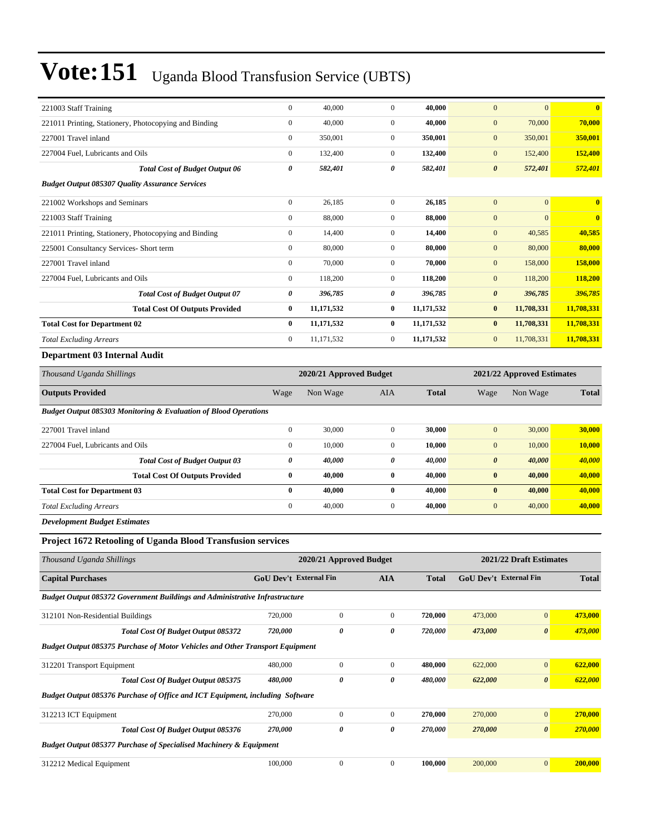| 221003 Staff Training                                  | $\mathbf{0}$ | 40,000     | $\Omega$       | 40.000       | $\overline{0}$<br>$\mathbf{0}$   | $\mathbf{0}$            |
|--------------------------------------------------------|--------------|------------|----------------|--------------|----------------------------------|-------------------------|
| 221011 Printing, Stationery, Photocopying and Binding  | $\mathbf{0}$ | 40,000     | $\overline{0}$ | 40,000       | $\mathbf{0}$<br>70,000           | 70,000                  |
| 227001 Travel inland                                   | $\mathbf{0}$ | 350,001    | $\overline{0}$ | 350,001      | $\mathbf{0}$<br>350,001          | 350,001                 |
| 227004 Fuel, Lubricants and Oils                       | $\mathbf{0}$ | 132,400    | $\overline{0}$ | 132,400      | 152,400<br>$\mathbf{0}$          | 152,400                 |
| <b>Total Cost of Budget Output 06</b>                  | 0            | 582,401    | 0              | 582,401      | $\boldsymbol{\theta}$<br>572,401 | 572,401                 |
| <b>Budget Output 085307 Quality Assurance Services</b> |              |            |                |              |                                  |                         |
| 221002 Workshops and Seminars                          | $\mathbf{0}$ | 26,185     | $\overline{0}$ | 26,185       | $\overline{0}$<br>$\mathbf{0}$   | $\overline{0}$          |
| 221003 Staff Training                                  | $\mathbf{0}$ | 88,000     | $\overline{0}$ | 88,000       | $\overline{0}$<br>$\mathbf{0}$   | $\overline{\mathbf{0}}$ |
| 221011 Printing, Stationery, Photocopying and Binding  | $\mathbf{0}$ | 14,400     | $\overline{0}$ | 14,400       | $\mathbf{0}$<br>40,585           | 40,585                  |
| 225001 Consultancy Services- Short term                | $\mathbf{0}$ | 80,000     | $\overline{0}$ | 80,000       | 80,000<br>$\mathbf{0}$           | 80,000                  |
| 227001 Travel inland                                   | $\mathbf{0}$ | 70,000     | $\Omega$       | 70,000       | 158,000<br>$\mathbf{0}$          | 158,000                 |
| 227004 Fuel, Lubricants and Oils                       | $\mathbf{0}$ | 118,200    | $\mathbf{0}$   | 118,200      | $\mathbf{0}$<br>118,200          | 118,200                 |
| <b>Total Cost of Budget Output 07</b>                  | 0            | 396,785    | 0              | 396,785      | $\boldsymbol{\theta}$<br>396,785 | 396,785                 |
| <b>Total Cost Of Outputs Provided</b>                  | $\bf{0}$     | 11,171,532 | $\bf{0}$       | 11,171,532   | 11,708,331<br>$\bf{0}$           | 11,708,331              |
| <b>Total Cost for Department 02</b>                    | $\bf{0}$     | 11,171,532 | $\bf{0}$       | 11, 171, 532 | 11,708,331<br>$\bf{0}$           | 11,708,331              |
| <b>Total Excluding Arrears</b>                         | $\mathbf{0}$ | 11,171,532 | $\overline{0}$ | 11,171,532   | 11,708,331<br>$\mathbf{0}$       | 11,708,331              |

#### **Department 03 Internal Audit**

| Thousand Uganda Shillings                                                   | 2021/22 Approved Estimates<br>2020/21 Approved Budget |          |                |              |                       |          |              |
|-----------------------------------------------------------------------------|-------------------------------------------------------|----------|----------------|--------------|-----------------------|----------|--------------|
| <b>Outputs Provided</b>                                                     | Wage                                                  | Non Wage | <b>AIA</b>     | <b>Total</b> | Wage                  | Non Wage | <b>Total</b> |
| <b>Budget Output 085303 Monitoring &amp; Evaluation of Blood Operations</b> |                                                       |          |                |              |                       |          |              |
| 227001 Travel inland                                                        | $\mathbf{0}$                                          | 30,000   | $\overline{0}$ | 30,000       | $\boldsymbol{0}$      | 30,000   | 30,000       |
| 227004 Fuel, Lubricants and Oils                                            | $\mathbf{0}$                                          | 10,000   | $\mathbf{0}$   | 10,000       | $\mathbf{0}$          | 10,000   | 10,000       |
| <b>Total Cost of Budget Output 03</b>                                       | 0                                                     | 40,000   | 0              | 40,000       | $\boldsymbol{\theta}$ | 40,000   | 40,000       |
| <b>Total Cost Of Outputs Provided</b>                                       | $\bf{0}$                                              | 40,000   | $\bf{0}$       | 40,000       | $\bf{0}$              | 40.000   | 40,000       |
| <b>Total Cost for Department 03</b>                                         | $\bf{0}$                                              | 40,000   | $\mathbf{0}$   | 40,000       | $\bf{0}$              | 40,000   | 40,000       |
| <b>Total Excluding Arrears</b>                                              | $\mathbf{0}$                                          | 40,000   | $\mathbf{0}$   | 40,000       | $\boldsymbol{0}$      | 40,000   | 40,000       |
| <b>Development Budget Estimates</b>                                         |                                                       |          |                |              |                       |          |              |

### **Project 1672 Retooling of Uganda Blood Transfusion services**

| Thousand Uganda Shillings                                                            |                               | 2020/21 Approved Budget | 2021/22 Draft Estimates |              |                               |                       |              |
|--------------------------------------------------------------------------------------|-------------------------------|-------------------------|-------------------------|--------------|-------------------------------|-----------------------|--------------|
| <b>Capital Purchases</b>                                                             | <b>GoU Dev't External Fin</b> |                         | <b>AIA</b>              | <b>Total</b> | <b>GoU Dev't External Fin</b> |                       | <b>Total</b> |
| <b>Budget Output 085372 Government Buildings and Administrative Infrastructure</b>   |                               |                         |                         |              |                               |                       |              |
| 312101 Non-Residential Buildings                                                     | 720,000                       | $\mathbf{0}$            | $\overline{0}$          | 720,000      | 473,000                       | $\mathbf{0}$          | 473,000      |
| <b>Total Cost Of Budget Output 085372</b>                                            | 720,000                       | 0                       | 0                       | 720,000      | 473,000                       | $\boldsymbol{\theta}$ | 473,000      |
| <b>Budget Output 085375 Purchase of Motor Vehicles and Other Transport Equipment</b> |                               |                         |                         |              |                               |                       |              |
| 312201 Transport Equipment                                                           | 480,000                       | $\mathbf{0}$            | $\mathbf{0}$            | 480,000      | 622,000                       | $\mathbf{0}$          | 622,000      |
| Total Cost Of Budget Output 085375                                                   | 480,000                       | 0                       | 0                       | 480,000      | 622,000                       | $\boldsymbol{\theta}$ | 622,000      |
| Budget Output 085376 Purchase of Office and ICT Equipment, including Software        |                               |                         |                         |              |                               |                       |              |
| 312213 ICT Equipment                                                                 | 270,000                       | $\mathbf{0}$            | $\overline{0}$          | 270,000      | 270,000                       | $\mathbf{0}$          | 270,000      |
| Total Cost Of Budget Output 085376                                                   | 270,000                       | 0                       | 0                       | 270,000      | 270,000                       | $\boldsymbol{\theta}$ | 270,000      |
| <b>Budget Output 085377 Purchase of Specialised Machinery &amp; Equipment</b>        |                               |                         |                         |              |                               |                       |              |
| 312212 Medical Equipment                                                             | 100,000                       | $\mathbf{0}$            | $\Omega$                | 100,000      | 200,000                       | $\mathbf{0}$          | 200,000      |